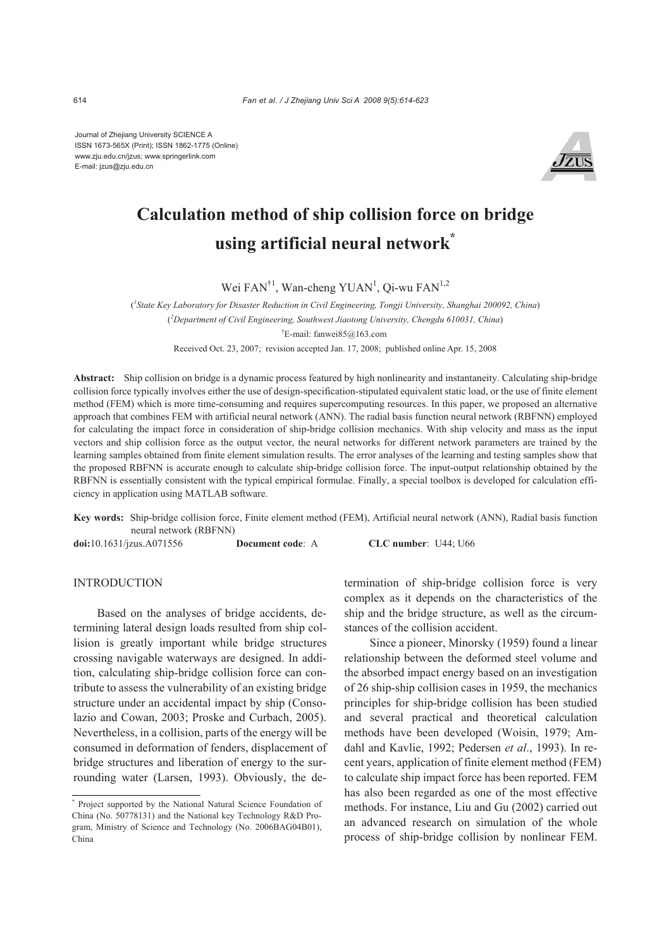Journal of Zhejiang University SCIENCE A ISSN 1673-565X (Print); ISSN 1862-1775 (Online) www.zju.edu.cn/jzus; www.springerlink.com E-mail: jzus@zju.edu.cn



# **Calculation method of ship collision force on bridge using artificial neural network\***

Wei FAN<sup>†1</sup>, Wan-cheng YUAN<sup>1</sup>, Qi-wu FAN<sup>1,2</sup>

( *1 State Key Laboratory for Disaster Reduction in Civil Engineering, Tongji University, Shanghai 200092, China*) ( *2 Department of Civil Engineering, Southwest Jiaotong University, Chengdu 610031, China*) † E-mail: fanwei85@163.com Received Oct. 23, 2007; revision accepted Jan. 17, 2008; published online Apr. 15, 2008

**Abstract:** Ship collision on bridge is a dynamic process featured by high nonlinearity and instantaneity. Calculating ship-bridge collision force typically involves either the use of design-specification-stipulated equivalent static load, or the use of finite element method (FEM) which is more time-consuming and requires supercomputing resources. In this paper, we proposed an alternative approach that combines FEM with artificial neural network (ANN). The radial basis function neural network (RBFNN) employed for calculating the impact force in consideration of ship-bridge collision mechanics. With ship velocity and mass as the input vectors and ship collision force as the output vector, the neural networks for different network parameters are trained by the learning samples obtained from finite element simulation results. The error analyses of the learning and testing samples show that the proposed RBFNN is accurate enough to calculate ship-bridge collision force. The input-output relationship obtained by the RBFNN is essentially consistent with the typical empirical formulae. Finally, a special toolbox is developed for calculation efficiency in application using MATLAB software.

**Key words:** Ship-bridge collision force, Finite element method (FEM), Artificial neural network (ANN), Radial basis function neural network (RBFNN) **doi:**10.1631/jzus.A071556 **Document code**: A **CLC number**:U44; U66

## **INTRODUCTION**

Based on the analyses of bridge accidents, determining lateral design loads resulted from ship collision is greatly important while bridge structures crossing navigable waterways are designed. In addition, calculating ship-bridge collision force can contribute to assess the vulnerability of an existing bridge structure under an accidental impact by ship (Consolazio and Cowan, 2003; Proske and Curbach, 2005). Nevertheless, in a collision, parts of the energy will be consumed in deformation of fenders, displacement of bridge structures and liberation of energy to the surrounding water (Larsen, 1993). Obviously, the determination of ship-bridge collision force is very complex as it depends on the characteristics of the ship and the bridge structure, as well as the circumstances of the collision accident.

 Since a pioneer, Minorsky (1959) found a linear relationship between the deformed steel volume and the absorbed impact energy based on an investigation of 26 ship-ship collision cases in 1959, the mechanics principles for ship-bridge collision has been studied and several practical and theoretical calculation methods have been developed (Woisin, 1979; Amdahl and Kavlie, 1992; Pedersen *et al*., 1993). In recent years, application of finite element method (FEM) to calculate ship impact force has been reported. FEM has also been regarded as one of the most effective methods. For instance, Liu and Gu (2002) carried out an advanced research on simulation of the whole process of ship-bridge collision by nonlinear FEM.

<sup>\*</sup> Project supported by the National Natural Science Foundation of China (No. 50778131) and the National key Technology R&D Program, Ministry of Science and Technology (No. 2006BAG04B01), China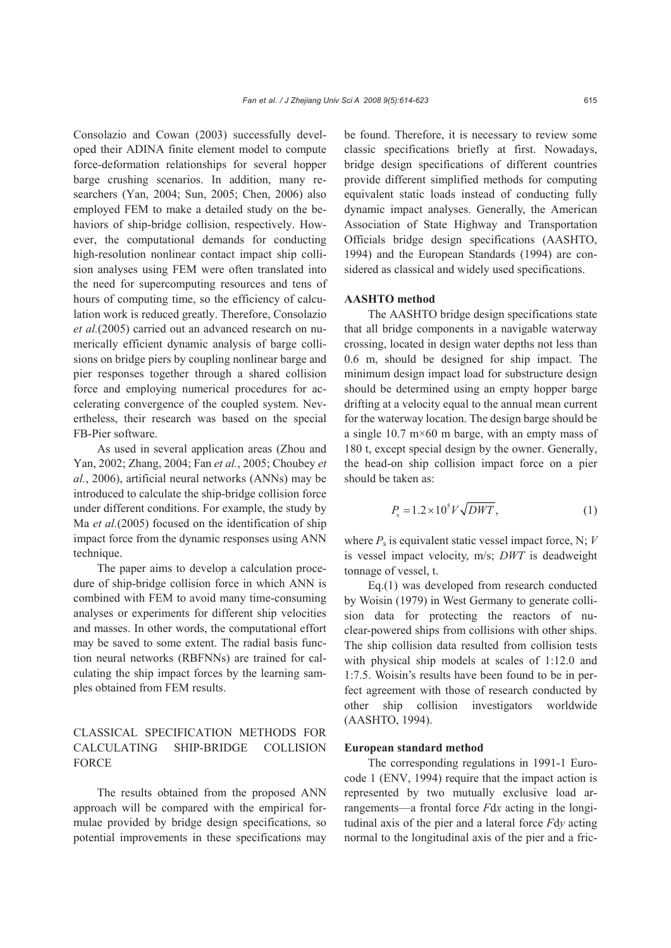Consolazio and Cowan (2003) successfully developed their ADINA finite element model to compute force-deformation relationships for several hopper barge crushing scenarios. In addition, many researchers (Yan, 2004; Sun, 2005; Chen, 2006) also employed FEM to make a detailed study on the behaviors of ship-bridge collision, respectively. However, the computational demands for conducting high-resolution nonlinear contact impact ship collision analyses using FEM were often translated into the need for supercomputing resources and tens of hours of computing time, so the efficiency of calculation work is reduced greatly. Therefore, Consolazio *et al.*(2005) carried out an advanced research on numerically efficient dynamic analysis of barge collisions on bridge piers by coupling nonlinear barge and pier responses together through a shared collision force and employing numerical procedures for accelerating convergence of the coupled system. Nevertheless, their research was based on the special FB-Pier software.

As used in several application areas (Zhou and Yan, 2002; Zhang, 2004; Fan *et al.*, 2005; Choubey *et al.*, 2006), artificial neural networks (ANNs) may be introduced to calculate the ship-bridge collision force under different conditions. For example, the study by Ma *et al.*(2005) focused on the identification of ship impact force from the dynamic responses using ANN technique.

The paper aims to develop a calculation procedure of ship-bridge collision force in which ANN is combined with FEM to avoid many time-consuming analyses or experiments for different ship velocities and masses. In other words, the computational effort may be saved to some extent. The radial basis function neural networks (RBFNNs) are trained for calculating the ship impact forces by the learning samples obtained from FEM results.

# CLASSICAL SPECIFICATION METHODS FOR CALCULATING SHIP-BRIDGE COLLISION FORCE

The results obtained from the proposed ANN approach will be compared with the empirical formulae provided by bridge design specifications, so potential improvements in these specifications may be found. Therefore, it is necessary to review some classic specifications briefly at first. Nowadays, bridge design specifications of different countries provide different simplified methods for computing equivalent static loads instead of conducting fully dynamic impact analyses. Generally, the American Association of State Highway and Transportation Officials bridge design specifications (AASHTO, 1994) and the European Standards (1994) are considered as classical and widely used specifications.

## **AASHTO method**

The AASHTO bridge design specifications state that all bridge components in a navigable waterway crossing, located in design water depths not less than 0.6 m, should be designed for ship impact. The minimum design impact load for substructure design should be determined using an empty hopper barge drifting at a velocity equal to the annual mean current for the waterway location. The design barge should be a single 10.7 m×60 m barge, with an empty mass of 180 t, except special design by the owner. Generally, the head-on ship collision impact force on a pier should be taken as:

$$
P_{\rm s} = 1.2 \times 10^5 V \sqrt{DWT} \,, \tag{1}
$$

where  $P_s$  is equivalent static vessel impact force, N;  $V$ is vessel impact velocity, m/s; *DWT* is deadweight tonnage of vessel, t.

Eq.(1) was developed from research conducted by Woisin (1979) in West Germany to generate collision data for protecting the reactors of nuclear-powered ships from collisions with other ships. The ship collision data resulted from collision tests with physical ship models at scales of 1:12.0 and 1:7.5. Woisin's results have been found to be in perfect agreement with those of research conducted by other ship collision investigators worldwide (AASHTO, 1994).

#### **European standard method**

The corresponding regulations in 1991-1 Eurocode 1 (ENV, 1994) require that the impact action is represented by two mutually exclusive load arrangements—a frontal force *F*d*x* acting in the longitudinal axis of the pier and a lateral force *F*d*y* acting normal to the longitudinal axis of the pier and a fric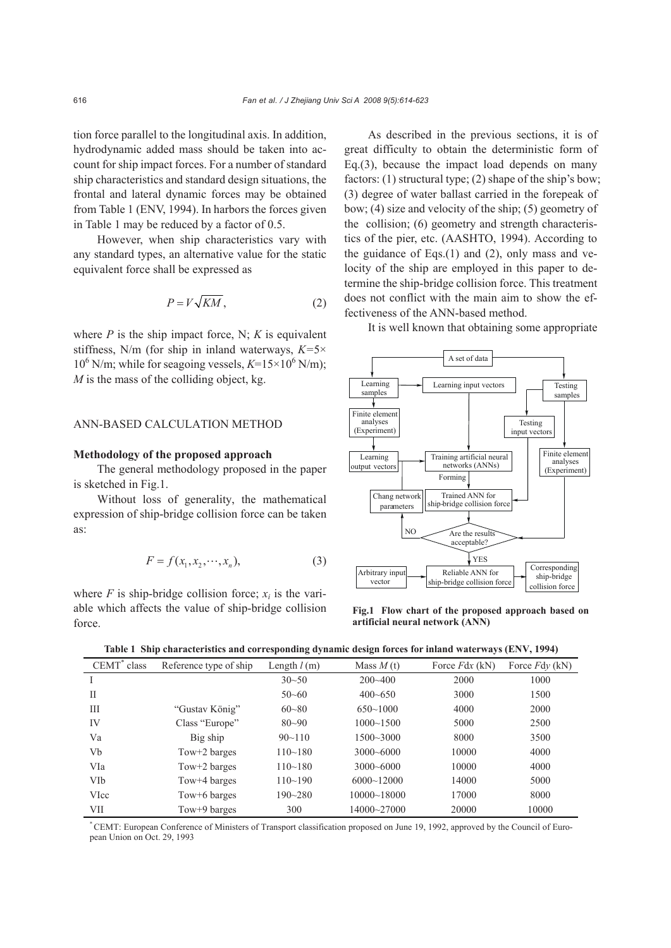tion force parallel to the longitudinal axis. In addition, hydrodynamic added mass should be taken into account for ship impact forces. For a number of standard ship characteristics and standard design situations, the frontal and lateral dynamic forces may be obtained from Table 1 (ENV, 1994). In harbors the forces given in Table 1 may be reduced by a factor of 0.5.

However, when ship characteristics vary with any standard types, an alternative value for the static equivalent force shall be expressed as

$$
P = V\sqrt{KM},\tag{2}
$$

where  $P$  is the ship impact force, N;  $K$  is equivalent stiffness, N/m (for ship in inland waterways, *K=*5×  $10^6$  N/m; while for seagoing vessels,  $K=15\times10^6$  N/m); *M* is the mass of the colliding object, kg.

# ANN-BASED CALCULATION METHOD

#### **Methodology of the proposed approach**

The general methodology proposed in the paper is sketched in Fig.1.

Without loss of generality, the mathematical expression of ship-bridge collision force can be taken as:

$$
F = f(x_1, x_2, \cdots, x_n),\tag{3}
$$

where  $F$  is ship-bridge collision force;  $x_i$  is the variable which affects the value of ship-bridge collision force.

As described in the previous sections, it is of great difficulty to obtain the deterministic form of Eq.(3), because the impact load depends on many factors: (1) structural type; (2) shape of the ship's bow; (3) degree of water ballast carried in the forepeak of bow; (4) size and velocity of the ship; (5) geometry of the collision; (6) geometry and strength characteristics of the pier, etc. (AASHTO, 1994). According to the guidance of Eqs.(1) and (2), only mass and velocity of the ship are employed in this paper to determine the ship-bridge collision force. This treatment does not conflict with the main aim to show the effectiveness of the ANN-based method.

It is well known that obtaining some appropriate



**Fig.1 Flow chart of the proposed approach based on artificial neural network (ANN)**

|  |  | Table 1 Ship characteristics and corresponding dynamic design forces for inland waterways (ENV, 1994) |  |  |  |  |  |  |  |  |  |
|--|--|-------------------------------------------------------------------------------------------------------|--|--|--|--|--|--|--|--|--|
|--|--|-------------------------------------------------------------------------------------------------------|--|--|--|--|--|--|--|--|--|

| CEMT <sup>*</sup> class | Reference type of ship | Length $l$ (m) | Mass $M(t)$     | Force $Fdx$ (kN) | Force $Fdy$ (kN) |
|-------------------------|------------------------|----------------|-----------------|------------------|------------------|
| $\mathbf{I}$            |                        | $30 - 50$      | $200 - 400$     | 2000             | 1000             |
| П                       |                        | $50 - 60$      | $400 - 650$     | 3000             | 1500             |
| Ш                       | "Gustav König"         | $60 - 80$      | $650 \sim 1000$ | 4000             | 2000             |
| IV                      | Class "Europe"         | $80 - 90$      | $1000 - 1500$   | 5000             | 2500             |
| Va                      | Big ship               | $90 - 110$     | $1500 - 3000$   | 8000             | 3500             |
| Vb                      | Tow $+2$ barges        | $110 - 180$    | $3000 - 6000$   | 10000            | 4000             |
| VIa                     | Tow $+2$ barges        | $110 - 180$    | $3000 - 6000$   | 10000            | 4000             |
| <b>VIb</b>              | Tow+4 barges           | $110 - 190$    | $6000 - 12000$  | 14000            | 5000             |
| <b>VIcc</b>             | Tow+6 barges           | $190 - 280$    | $10000 - 18000$ | 17000            | 8000             |
| VII                     | Tow+9 barges           | 300            | $14000 - 27000$ | 20000            | 10000            |

\* CEMT: European Conference of Ministers of Transport classification proposed on June 19, 1992, approved by the Council of European Union on Oct. 29, 1993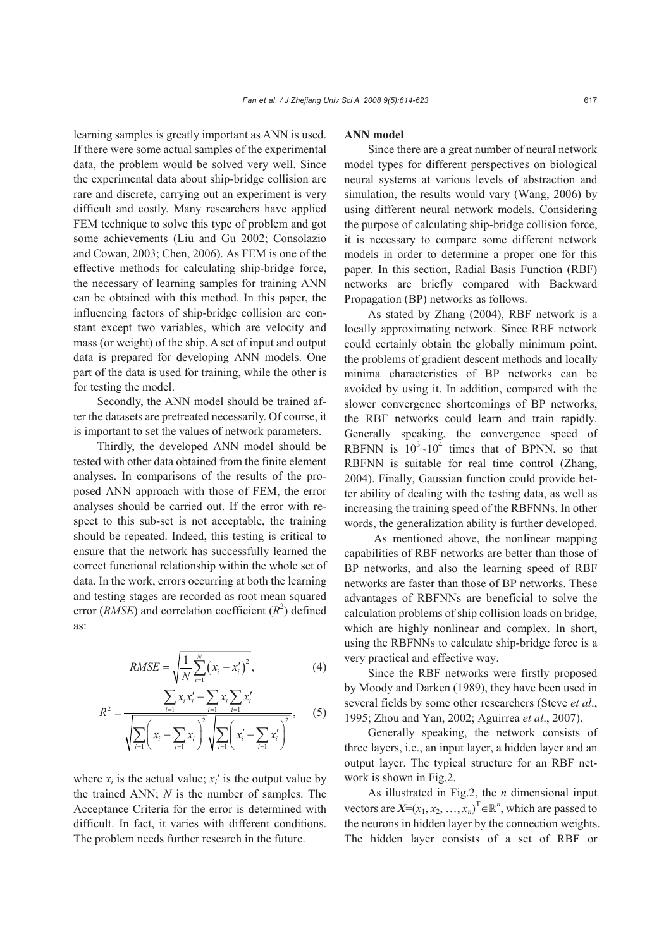learning samples is greatly important as ANN is used. If there were some actual samples of the experimental data, the problem would be solved very well. Since the experimental data about ship-bridge collision are rare and discrete, carrying out an experiment is very difficult and costly. Many researchers have applied FEM technique to solve this type of problem and got some achievements (Liu and Gu 2002; Consolazio and Cowan, 2003; Chen, 2006). As FEM is one of the effective methods for calculating ship-bridge force, the necessary of learning samples for training ANN can be obtained with this method. In this paper, the influencing factors of ship-bridge collision are constant except two variables, which are velocity and mass (or weight) of the ship. A set of input and output data is prepared for developing ANN models. One part of the data is used for training, while the other is for testing the model.

Secondly, the ANN model should be trained after the datasets are pretreated necessarily. Of course, it is important to set the values of network parameters.

Thirdly, the developed ANN model should be tested with other data obtained from the finite element analyses. In comparisons of the results of the proposed ANN approach with those of FEM, the error analyses should be carried out. If the error with respect to this sub-set is not acceptable, the training should be repeated. Indeed, this testing is critical to ensure that the network has successfully learned the correct functional relationship within the whole set of data. In the work, errors occurring at both the learning and testing stages are recorded as root mean squared error (*RMSE*) and correlation coefficient ( $R<sup>2</sup>$ ) defined as:

RMSE = 
$$
\sqrt{\frac{1}{N} \sum_{i=1}^{N} (x_i - x'_i)^2}
$$
, (4)

$$
R^{2} = \frac{\sum_{i=1} x_{i} x_{i}' - \sum_{i=1} x_{i} \sum_{i=1} x_{i}'}{\sqrt{\sum_{i=1} \left(x_{i} - \sum_{i=1} x_{i}\right)^{2}} \sqrt{\sum_{i=1} \left(x_{i}' - \sum_{i=1} x_{i}'\right)^{2}}},
$$
 (5)

where  $x_i$  is the actual value;  $x_i'$  is the output value by the trained ANN; *N* is the number of samples. The Acceptance Criteria for the error is determined with difficult. In fact, it varies with different conditions. The problem needs further research in the future.

### **ANN model**

Since there are a great number of neural network model types for different perspectives on biological neural systems at various levels of abstraction and simulation, the results would vary (Wang, 2006) by using different neural network models. Considering the purpose of calculating ship-bridge collision force, it is necessary to compare some different network models in order to determine a proper one for this paper. In this section, Radial Basis Function (RBF) networks are briefly compared with Backward Propagation (BP) networks as follows.

As stated by Zhang (2004), RBF network is a locally approximating network. Since RBF network could certainly obtain the globally minimum point, the problems of gradient descent methods and locally minima characteristics of BP networks can be avoided by using it. In addition, compared with the slower convergence shortcomings of BP networks, the RBF networks could learn and train rapidly. Generally speaking, the convergence speed of RBFNN is  $10^3 \sim 10^4$  times that of BPNN, so that RBFNN is suitable for real time control (Zhang, 2004). Finally, Gaussian function could provide better ability of dealing with the testing data, as well as increasing the training speed of the RBFNNs. In other words, the generalization ability is further developed.

As mentioned above, the nonlinear mapping capabilities of RBF networks are better than those of BP networks, and also the learning speed of RBF networks are faster than those of BP networks. These advantages of RBFNNs are beneficial to solve the calculation problems of ship collision loads on bridge, which are highly nonlinear and complex. In short, using the RBFNNs to calculate ship-bridge force is a very practical and effective way.

Since the RBF networks were firstly proposed by Moody and Darken (1989), they have been used in several fields by some other researchers (Steve *et al*., 1995; Zhou and Yan, 2002; Aguirrea *et al*., 2007).

Generally speaking, the network consists of three layers, i.e., an input layer, a hidden layer and an output layer. The typical structure for an RBF network is shown in Fig.2.

As illustrated in Fig.2, the *n* dimensional input vectors are  $X=(x_1, x_2, ..., x_n)^T \in \mathbb{R}^n$ , which are passed to the neurons in hidden layer by the connection weights. The hidden layer consists of a set of RBF or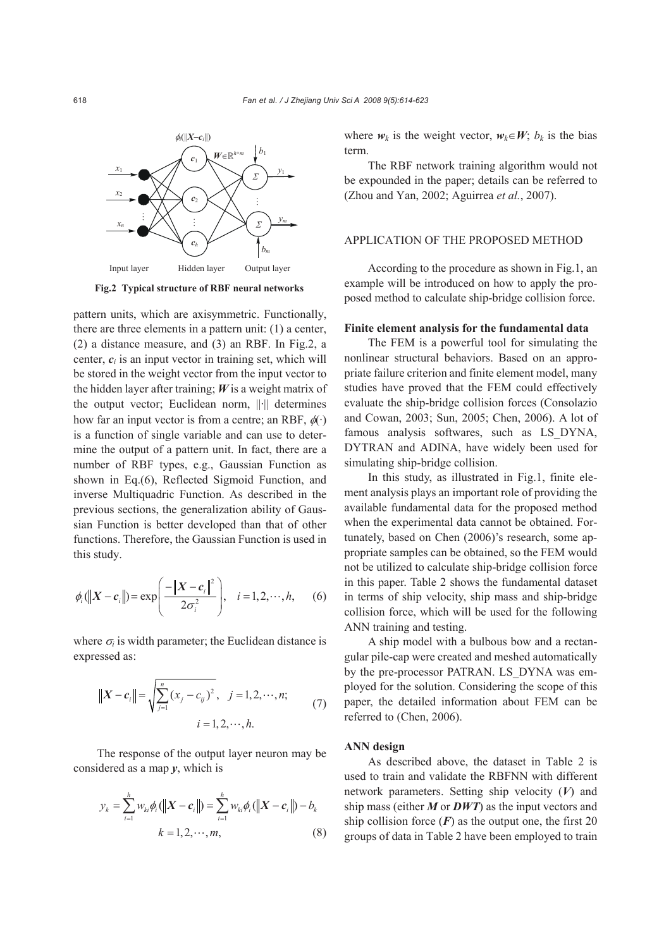

**Fig.2 Typical structure of RBF neural networks** 

pattern units, which are axisymmetric. Functionally, there are three elements in a pattern unit: (1) a center, (2) a distance measure, and (3) an RBF. In Fig.2, a center,  $c_i$  is an input vector in training set, which will be stored in the weight vector from the input vector to the hidden layer after training; *W* is a weight matrix of the output vector; Euclidean norm, ||·|| determines how far an input vector is from a centre; an RBF,  $\phi(\cdot)$ is a function of single variable and can use to determine the output of a pattern unit. In fact, there are a number of RBF types, e.g., Gaussian Function as shown in Eq.(6), Reflected Sigmoid Function, and inverse Multiquadric Function. As described in the previous sections, the generalization ability of Gaussian Function is better developed than that of other functions. Therefore, the Gaussian Function is used in this study.

$$
\phi_i(\|X - c_i\|) = \exp\left(\frac{-\|X - c_i\|^2}{2\sigma_i^2}\right), \quad i = 1, 2, \dots, h,
$$
 (6)

where  $\sigma_i$  is width parameter; the Euclidean distance is expressed as:

$$
||X - c_i|| = \sqrt{\sum_{j=1}^{n} (x_j - c_{ij})^2}, \quad j = 1, 2, \cdots, n;
$$
  

$$
i = 1, 2, \cdots, h.
$$
 (7)

The response of the output layer neuron may be considered as a map *y*, which is

$$
y_{k} = \sum_{i=1}^{h} w_{ki} \phi_{i} (\|X - c_{i}\|) = \sum_{i=1}^{h} w_{ki} \phi_{i} (\|X - c_{i}\|) - b_{k}
$$
  

$$
k = 1, 2, \cdots, m,
$$
 (8)

where  $w_k$  is the weight vector,  $w_k \in W$ ;  $b_k$  is the bias term.

The RBF network training algorithm would not be expounded in the paper; details can be referred to (Zhou and Yan, 2002; Aguirrea *et al.*, 2007).

# APPLICATION OF THE PROPOSED METHOD

According to the procedure as shown in Fig.1, an example will be introduced on how to apply the proposed method to calculate ship-bridge collision force.

#### **Finite element analysis for the fundamental data**

The FEM is a powerful tool for simulating the nonlinear structural behaviors. Based on an appropriate failure criterion and finite element model, many studies have proved that the FEM could effectively evaluate the ship-bridge collision forces (Consolazio and Cowan, 2003; Sun, 2005; Chen, 2006). A lot of famous analysis softwares, such as LS\_DYNA, DYTRAN and ADINA, have widely been used for simulating ship-bridge collision.

In this study, as illustrated in Fig.1, finite element analysis plays an important role of providing the available fundamental data for the proposed method when the experimental data cannot be obtained. Fortunately, based on Chen (2006)'s research, some appropriate samples can be obtained, so the FEM would not be utilized to calculate ship-bridge collision force in this paper. Table 2 shows the fundamental dataset in terms of ship velocity, ship mass and ship-bridge collision force, which will be used for the following ANN training and testing.

A ship model with a bulbous bow and a rectangular pile-cap were created and meshed automatically by the pre-processor PATRAN. LS\_DYNA was employed for the solution. Considering the scope of this paper, the detailed information about FEM can be referred to (Chen, 2006).

## **ANN design**

As described above, the dataset in Table 2 is used to train and validate the RBFNN with different network parameters. Setting ship velocity (*V*) and ship mass (either *M* or *DWT*) as the input vectors and ship collision force  $(F)$  as the output one, the first 20 groups of data in Table 2 have been employed to train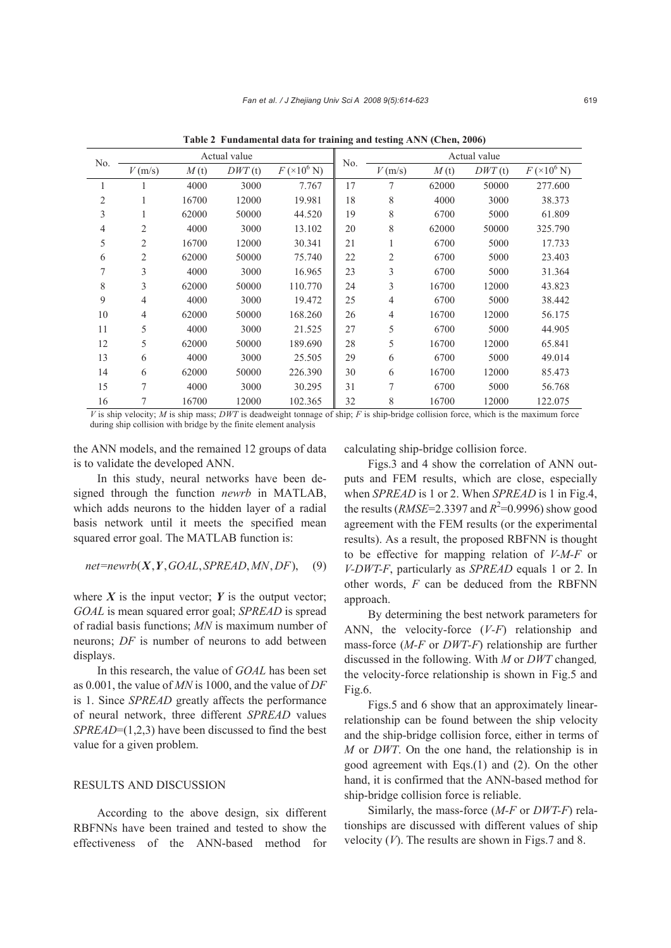| No.            | Actual value   |       |        |                              | No. | Actual value   |       |        |                     |  |
|----------------|----------------|-------|--------|------------------------------|-----|----------------|-------|--------|---------------------|--|
|                | V(m/s)         | M(t)  | DWT(t) | $F ( \times 10^6 \text{ N})$ |     | V(m/s)         | M(t)  | DWT(t) | $F(10^6 \text{ N})$ |  |
| 1              |                | 4000  | 3000   | 7.767                        | 17  | 7              | 62000 | 50000  | 277.600             |  |
| $\overline{2}$ | 1              | 16700 | 12000  | 19.981                       | 18  | 8              | 4000  | 3000   | 38.373              |  |
| 3              | 1              | 62000 | 50000  | 44.520                       | 19  | 8              | 6700  | 5000   | 61.809              |  |
| 4              | 2              | 4000  | 3000   | 13.102                       | 20  | 8              | 62000 | 50000  | 325.790             |  |
| 5              | $\overline{2}$ | 16700 | 12000  | 30.341                       | 21  | 1              | 6700  | 5000   | 17.733              |  |
| 6              | $\overline{2}$ | 62000 | 50000  | 75.740                       | 22  | $\overline{2}$ | 6700  | 5000   | 23.403              |  |
| 7              | 3              | 4000  | 3000   | 16.965                       | 23  | 3              | 6700  | 5000   | 31.364              |  |
| 8              | 3              | 62000 | 50000  | 110.770                      | 24  | 3              | 16700 | 12000  | 43.823              |  |
| 9              | $\overline{4}$ | 4000  | 3000   | 19.472                       | 25  | 4              | 6700  | 5000   | 38.442              |  |
| 10             | 4              | 62000 | 50000  | 168.260                      | 26  | 4              | 16700 | 12000  | 56.175              |  |
| 11             | 5              | 4000  | 3000   | 21.525                       | 27  | 5              | 6700  | 5000   | 44.905              |  |
| 12             | 5              | 62000 | 50000  | 189.690                      | 28  | 5              | 16700 | 12000  | 65.841              |  |
| 13             | 6              | 4000  | 3000   | 25.505                       | 29  | 6              | 6700  | 5000   | 49.014              |  |
| 14             | 6              | 62000 | 50000  | 226.390                      | 30  | 6              | 16700 | 12000  | 85.473              |  |
| 15             | 7              | 4000  | 3000   | 30.295                       | 31  | 7              | 6700  | 5000   | 56.768              |  |
| 16             | 7              | 16700 | 12000  | 102.365                      | 32  | 8              | 16700 | 12000  | 122.075             |  |

**Table 2 Fundamental data for training and testing ANN (Chen, 2006)** 

*V* is ship velocity; *M* is ship mass; *DWT* is deadweight tonnage of ship; *F* is ship-bridge collision force, which is the maximum force during ship collision with bridge by the finite element analysis

the ANN models, and the remained 12 groups of data is to validate the developed ANN.

In this study, neural networks have been designed through the function *newrb* in MATLAB, which adds neurons to the hidden layer of a radial basis network until it meets the specified mean squared error goal. The MATLAB function is:

$$
net = newrb(X, Y, GOAL, SPREAD, MN, DF),
$$
 (9)

where  $X$  is the input vector;  $Y$  is the output vector; *GOAL* is mean squared error goal; *SPREAD* is spread of radial basis functions; *MN* is maximum number of neurons; *DF* is number of neurons to add between displays.

In this research, the value of *GOAL* has been set as 0.001, the value of *MN* is 1000, and the value of *DF* is 1. Since *SPREAD* greatly affects the performance of neural network, three different *SPREAD* values *SPREAD*=(1,2,3) have been discussed to find the best value for a given problem.

# RESULTS AND DISCUSSION

According to the above design, six different RBFNNs have been trained and tested to show the effectiveness of the ANN-based method for calculating ship-bridge collision force.

Figs.3 and 4 show the correlation of ANN outputs and FEM results, which are close, especially when *SPREAD* is 1 or 2. When *SPREAD* is 1 in Fig.4, the results ( $RMSE$ =2.3397 and  $R^2$ =0.9996) show good agreement with the FEM results (or the experimental results). As a result, the proposed RBFNN is thought to be effective for mapping relation of *V-M-F* or *V-DWT-F*, particularly as *SPREAD* equals 1 or 2. In other words, *F* can be deduced from the RBFNN approach.

By determining the best network parameters for ANN, the velocity-force (*V-F*) relationship and mass-force (*M-F* or *DWT-F*) relationship are further discussed in the following. With *M* or *DWT* changed*,* the velocity-force relationship is shown in Fig.5 and Fig.6.

Figs.5 and 6 show that an approximately linearrelationship can be found between the ship velocity and the ship-bridge collision force, either in terms of *M* or *DWT*. On the one hand, the relationship is in good agreement with Eqs.(1) and (2). On the other hand, it is confirmed that the ANN-based method for ship-bridge collision force is reliable.

Similarly, the mass-force (*M-F* or *DWT-F*) relationships are discussed with different values of ship velocity  $(V)$ . The results are shown in Figs.7 and 8.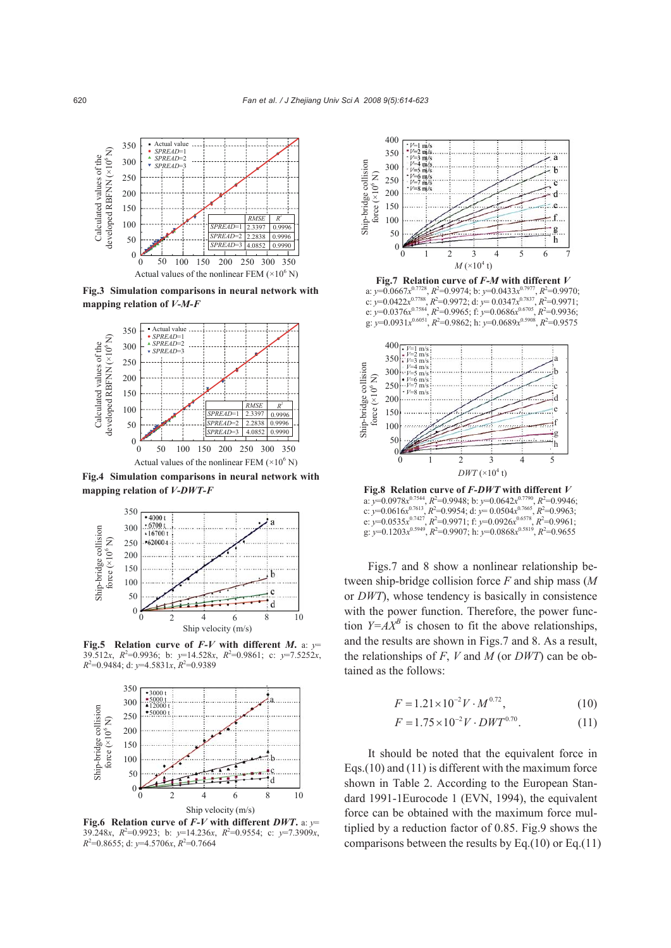

**Fig.3 Simulation comparisons in neural network with mapping relation of** *V-M-F*



**Fig.4 Simulation comparisons in neural network with mapping relation of** *V-DWT-F*



**Fig.5** Relation curve of  $F-V$  with different *M*, a:  $y=$ 39.512*x*,  $R^2=0.9936$ ; b:  $y=14.528x$ ,  $R^2=0.9861$ ; c:  $y=7.5252x$ , *R*2 =0.9484; d: *y*=4.5831*x*, *R*<sup>2</sup> =0.9389



**Fig.6 Relation curve of** *F-V* **with different** *DWT***.** a: *y*= 39.248*x*,  $R^2$ =0.9923; b:  $y$ =14.236*x*,  $R^2$ =0.9554; c:  $y$ =7.3909*x*,  $R^2$ =0.8655; d: *y*=4.5706*x*,  $R^2$ =0.7664



**Fig.7 Relation curve of** *F-M* **with different** *V*  a:  $y=0.0667x^{0.7728}$ ,  $R^2=0.9974$ ; b:  $y=0.0433x^{0.7977}$ ,  $R^2=0.9970$ ; c:  $y=0.0422x^{0.7788}$ ,  $R^2=0.9972$ ; d:  $y=0.0347x^{0.7837}$ ,  $R^2=0.9971$ ; e:  $y=0.0376x^{0.7584}$ ,  $R^2=0.9965$ ; f:  $y=0.0686x^{0.6705}$ ,  $R^2=0.9936$ ; g:  $y=0.0931x^{0.6051}$ ,  $R^2=0.9862$ ; h:  $y=0.0689x^{0.5908}$ ,  $R^2=0.9575$ 



**Fig.8 Relation curve of** *F-DWT* **with different** *V*  a:  $y=0.0978x^{0.7544}$ ,  $R^2=0.9948$ ; b:  $y=0.0642x^{0.7790}$ ,  $R^2=0.9946$ ; c:  $y=0.0616x^{0.7613}$ ,  $R^2=0.9954$ ; d:  $y=0.0504x^{0.7665}$ ,  $R^2=0.9963$ ; e:  $y=0.0535x^{0.7427}$ ,  $R^2=0.9971$ ; f:  $y=0.0926x^{0.6578}$ ,  $R^2=0.9961$ ; g: *y*=0.1203*x*0.5949, *R*<sup>2</sup> =0.9907; h: *y*=0.0868*x*0.5819, *R*<sup>2</sup> =0.9655

Figs.7 and 8 show a nonlinear relationship between ship-bridge collision force *F* and ship mass (*M* or *DWT*), whose tendency is basically in consistence with the power function. Therefore, the power function  $Y = AX^B$  is chosen to fit the above relationships, and the results are shown in Figs.7 and 8. As a result, the relationships of *F*, *V* and *M* (or *DWT*) can be obtained as the follows:

$$
F = 1.21 \times 10^{-2} V \cdot M^{0.72},\tag{10}
$$

$$
F = 1.75 \times 10^{-2} V \cdot DWT^{0.70}.
$$
 (11)

It should be noted that the equivalent force in Eqs.(10) and (11) is different with the maximum force shown in Table 2. According to the European Standard 1991-1Eurocode 1 (EVN, 1994), the equivalent force can be obtained with the maximum force multiplied by a reduction factor of 0.85. Fig.9 shows the comparisons between the results by Eq.(10) or Eq.(11)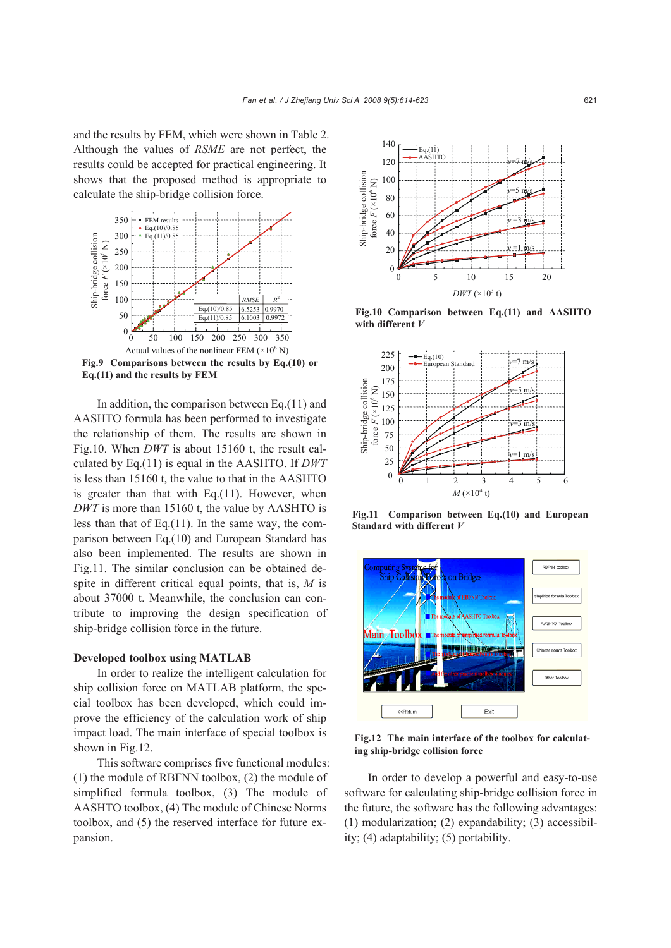and the results by FEM, which were shown in Table 2. Although the values of *RSME* are not perfect, the results could be accepted for practical engineering. It shows that the proposed method is appropriate to calculate the ship-bridge collision force.



**Eq.(11) and the results by FEM** 

In addition, the comparison between Eq.(11) and AASHTO formula has been performed to investigate the relationship of them. The results are shown in Fig.10. When *DWT* is about 15160 t, the result calculated by Eq.(11) is equal in the AASHTO. If *DWT* is less than 15160 t, the value to that in the AASHTO is greater than that with Eq.(11). However, when *DWT* is more than 15160 t, the value by AASHTO is less than that of Eq.(11). In the same way, the comparison between Eq.(10) and European Standard has also been implemented. The results are shown in Fig.11. The similar conclusion can be obtained despite in different critical equal points, that is, *M* is about 37000 t. Meanwhile, the conclusion can contribute to improving the design specification of ship-bridge collision force in the future.

## **Developed toolbox using MATLAB**

In order to realize the intelligent calculation for ship collision force on MATLAB platform, the special toolbox has been developed, which could improve the efficiency of the calculation work of ship impact load. The main interface of special toolbox is shown in Fig.12.

This software comprises five functional modules: (1) the module of RBFNN toolbox, (2) the module of simplified formula toolbox, (3) The module of AASHTO toolbox, (4) The module of Chinese Norms toolbox, and (5) the reserved interface for future expansion.



**Fig.10 Comparison between Eq.(11) and AASHTO with different** *V*



**Fig.11 Comparison between Eq.(10) and European Standard with different** *V*



**Fig.12 The main interface of the toolbox for calculating ship-bridge collision force** 

In order to develop a powerful and easy-to-use software for calculating ship-bridge collision force in the future, the software has the following advantages: (1) modularization; (2) expandability; (3) accessibility; (4) adaptability; (5) portability.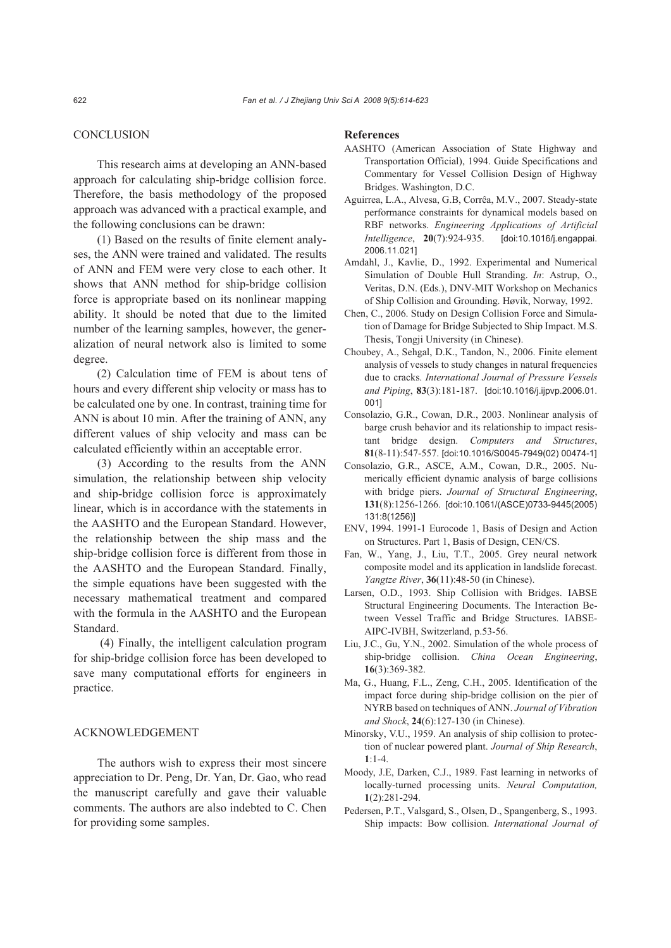# **CONCLUSION**

This research aims at developing an ANN-based approach for calculating ship-bridge collision force. Therefore, the basis methodology of the proposed approach was advanced with a practical example, and the following conclusions can be drawn:

(1) Based on the results of finite element analyses, the ANN were trained and validated. The results of ANN and FEM were very close to each other. It shows that ANN method for ship-bridge collision force is appropriate based on its nonlinear mapping ability. It should be noted that due to the limited number of the learning samples, however, the generalization of neural network also is limited to some degree.

(2) Calculation time of FEM is about tens of hours and every different ship velocity or mass has to be calculated one by one. In contrast, training time for ANN is about 10 min. After the training of ANN, any different values of ship velocity and mass can be calculated efficiently within an acceptable error.

(3) According to the results from the ANN simulation, the relationship between ship velocity and ship-bridge collision force is approximately linear, which is in accordance with the statements in the AASHTO and the European Standard. However, the relationship between the ship mass and the ship-bridge collision force is different from those in the AASHTO and the European Standard. Finally, the simple equations have been suggested with the necessary mathematical treatment and compared with the formula in the AASHTO and the European Standard.

 (4) Finally, the intelligent calculation program for ship-bridge collision force has been developed to save many computational efforts for engineers in practice.

### ACKNOWLEDGEMENT

The authors wish to express their most sincere appreciation to Dr. Peng, Dr. Yan, Dr. Gao, who read the manuscript carefully and gave their valuable comments. The authors are also indebted to C. Chen for providing some samples.

#### **References**

- AASHTO (American Association of State Highway and Transportation Official), 1994. Guide Specifications and Commentary for Vessel Collision Design of Highway Bridges. Washington, D.C.
- Aguirrea, L.A., Alvesa, G.B, Corrêa, M.V., 2007. Steady-state performance constraints for dynamical models based on RBF networks. *Engineering Applications of Artificial Intelligence*, **20**(7):924-935. [doi:10.1016/j.engappai. 2006.11.021]
- Amdahl, J., Kavlie, D., 1992. Experimental and Numerical Simulation of Double Hull Stranding. *In*: Astrup, O., Veritas, D.N. (Eds.), DNV-MIT Workshop on Mechanics of Ship Collision and Grounding. Høvik, Norway, 1992.
- Chen, C., 2006. Study on Design Collision Force and Simulation of Damage for Bridge Subjected to Ship Impact. M.S. Thesis, Tongji University (in Chinese).
- Choubey, A., Sehgal, D.K., Tandon, N., 2006. Finite element analysis of vessels to study changes in natural frequencies due to cracks. *International Journal of Pressure Vessels and Piping*, **83**(3):181-187. [doi:10.1016/j.ijpvp.2006.01. 001]
- Consolazio, G.R., Cowan, D.R., 2003. Nonlinear analysis of barge crush behavior and its relationship to impact resistant bridge design. *Computers and Structures*, **81**(8-11):547-557. [doi:10.1016/S0045-7949(02) 00474-1]
- Consolazio, G.R., ASCE, A.M., Cowan, D.R., 2005. Numerically efficient dynamic analysis of barge collisions with bridge piers. *Journal of Structural Engineering*, **131**(8):1256-1266. [doi:10.1061/(ASCE)0733-9445(2005) 131:8(1256)]
- ENV, 1994. 1991-1 Eurocode 1, Basis of Design and Action on Structures. Part 1, Basis of Design, CEN/CS.
- Fan, W., Yang, J., Liu, T.T., 2005. Grey neural network composite model and its application in landslide forecast. *Yangtze River*, **36**(11):48-50 (in Chinese).
- Larsen, O.D., 1993. Ship Collision with Bridges. IABSE Structural Engineering Documents. The Interaction Between Vessel Traffic and Bridge Structures. IABSE-AIPC-IVBH, Switzerland, p.53-56.
- Liu, J.C., Gu, Y.N., 2002. Simulation of the whole process of ship-bridge collision. *China Ocean Engineering*, **16**(3):369-382.
- Ma, G., Huang, F.L., Zeng, C.H., 2005. Identification of the impact force during ship-bridge collision on the pier of NYRB based on techniques of ANN. *Journal of Vibration and Shock*, **24**(6):127-130 (in Chinese).
- Minorsky, V.U., 1959. An analysis of ship collision to protection of nuclear powered plant. *Journal of Ship Research*, **1**:1-4.
- Moody, J.E, Darken, C.J., 1989. Fast learning in networks of locally-turned processing units. *Neural Computation,* **1**(2):281-294.
- Pedersen, P.T., Valsgard, S., Olsen, D., Spangenberg, S., 1993. Ship impacts: Bow collision. *International Journal of*